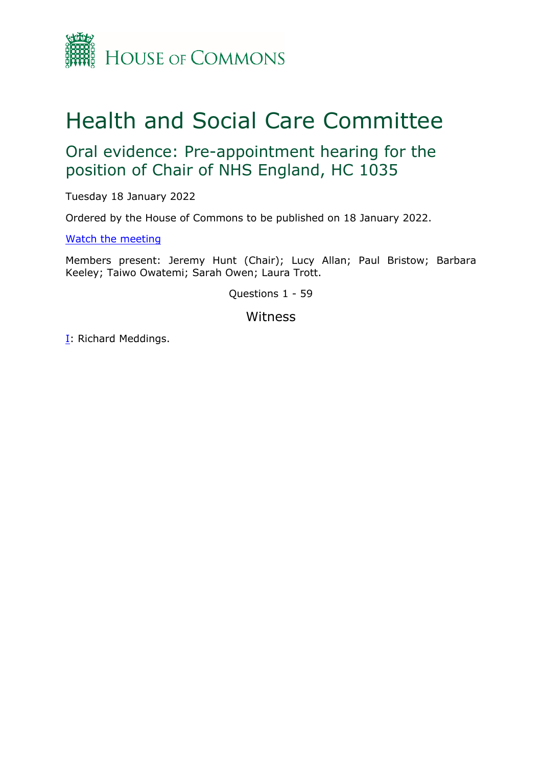

# Health and Social Care Committee

## Oral evidence: Pre-appointment hearing for the position of Chair of NHS England, HC 1035

Tuesday 18 January 2022

Ordered by the House of Commons to be published on 18 January 2022.

[Watch](https://www.parliamentlive.tv/Event/Index/12339958-ae09-43cc-8466-5864016cfd59) [the](https://www.parliamentlive.tv/Event/Index/12339958-ae09-43cc-8466-5864016cfd59) [meeting](https://www.parliamentlive.tv/Event/Index/12339958-ae09-43cc-8466-5864016cfd59)

Members present: Jeremy Hunt (Chair); Lucy Allan; Paul Bristow; Barbara Keeley; Taiwo Owatemi; Sarah Owen; Laura Trott.

Questions 1 - 59

Witness

[I:](#page-1-0) Richard Meddings.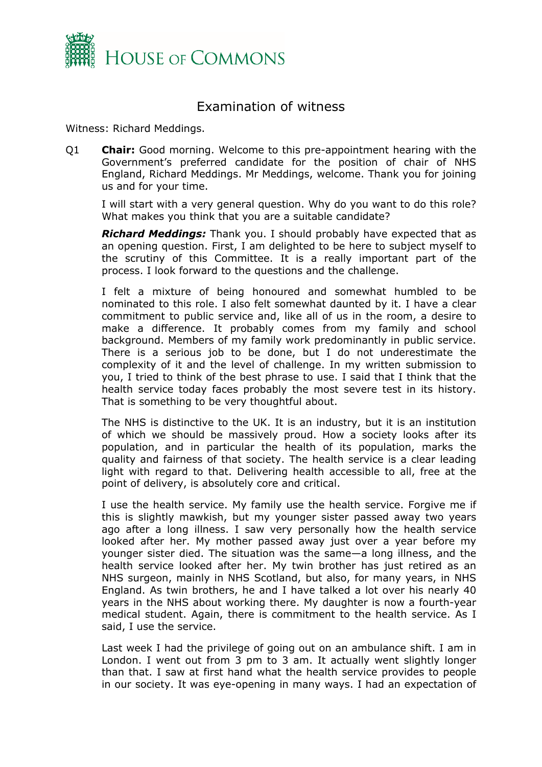

### <span id="page-1-0"></span>Examination of witness

Witness: Richard Meddings.

Q1 **Chair:** Good morning. Welcome to this pre-appointment hearing with the Government's preferred candidate for the position of chair of NHS England, Richard Meddings. Mr Meddings, welcome. Thank you for joining us and for your time.

I will start with a very general question. Why do you want to do this role? What makes you think that you are a suitable candidate?

*Richard Meddings:* Thank you. I should probably have expected that as an opening question. First, I am delighted to be here to subject myself to the scrutiny of this Committee. It is a really important part of the process. I look forward to the questions and the challenge.

I felt a mixture of being honoured and somewhat humbled to be nominated to this role. I also felt somewhat daunted by it. I have a clear commitment to public service and, like all of us in the room, a desire to make a difference. It probably comes from my family and school background. Members of my family work predominantly in public service. There is a serious job to be done, but I do not underestimate the complexity of it and the level of challenge. In my written submission to you, I tried to think of the best phrase to use. I said that I think that the health service today faces probably the most severe test in its history. That is something to be very thoughtful about.

The NHS is distinctive to the UK. It is an industry, but it is an institution of which we should be massively proud. How a society looks after its population, and in particular the health of its population, marks the quality and fairness of that society. The health service is a clear leading light with regard to that. Delivering health accessible to all, free at the point of delivery, is absolutely core and critical.

I use the health service. My family use the health service. Forgive me if this is slightly mawkish, but my younger sister passed away two years ago after a long illness. I saw very personally how the health service looked after her. My mother passed away just over a year before my younger sister died. The situation was the same—a long illness, and the health service looked after her. My twin brother has just retired as an NHS surgeon, mainly in NHS Scotland, but also, for many years, in NHS England. As twin brothers, he and I have talked a lot over his nearly 40 years in the NHS about working there. My daughter is now a fourth-year medical student. Again, there is commitment to the health service. As I said, I use the service.

Last week I had the privilege of going out on an ambulance shift. I am in London. I went out from 3 pm to 3 am. It actually went slightly longer than that. I saw at first hand what the health service provides to people in our society. It was eye-opening in many ways. I had an expectation of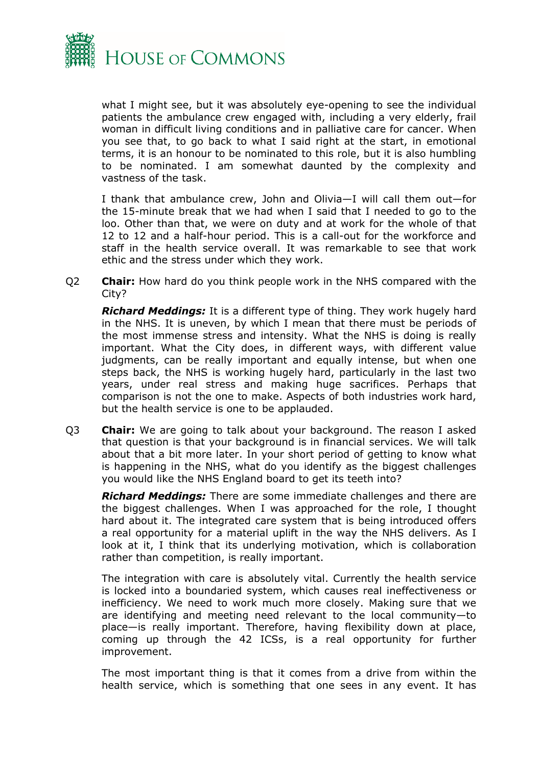

what I might see, but it was absolutely eye-opening to see the individual patients the ambulance crew engaged with, including a very elderly, frail woman in difficult living conditions and in palliative care for cancer. When you see that, to go back to what I said right at the start, in emotional terms, it is an honour to be nominated to this role, but it is also humbling to be nominated. I am somewhat daunted by the complexity and vastness of the task.

I thank that ambulance crew, John and Olivia—I will call them out—for the 15-minute break that we had when I said that I needed to go to the loo. Other than that, we were on duty and at work for the whole of that 12 to 12 and a half-hour period. This is a call-out for the workforce and staff in the health service overall. It was remarkable to see that work ethic and the stress under which they work.

Q2 **Chair:** How hard do you think people work in the NHS compared with the City?

*Richard Meddings:* It is a different type of thing. They work hugely hard in the NHS. It is uneven, by which I mean that there must be periods of the most immense stress and intensity. What the NHS is doing is really important. What the City does, in different ways, with different value judgments, can be really important and equally intense, but when one steps back, the NHS is working hugely hard, particularly in the last two years, under real stress and making huge sacrifices. Perhaps that comparison is not the one to make. Aspects of both industries work hard, but the health service is one to be applauded.

Q3 **Chair:** We are going to talk about your background. The reason I asked that question is that your background is in financial services. We will talk about that a bit more later. In your short period of getting to know what is happening in the NHS, what do you identify as the biggest challenges you would like the NHS England board to get its teeth into?

*Richard Meddings:* There are some immediate challenges and there are the biggest challenges. When I was approached for the role, I thought hard about it. The integrated care system that is being introduced offers a real opportunity for a material uplift in the way the NHS delivers. As I look at it, I think that its underlying motivation, which is collaboration rather than competition, is really important.

The integration with care is absolutely vital. Currently the health service is locked into a boundaried system, which causes real ineffectiveness or inefficiency. We need to work much more closely. Making sure that we are identifying and meeting need relevant to the local community—to place—is really important. Therefore, having flexibility down at place, coming up through the 42 ICSs, is a real opportunity for further improvement.

The most important thing is that it comes from a drive from within the health service, which is something that one sees in any event. It has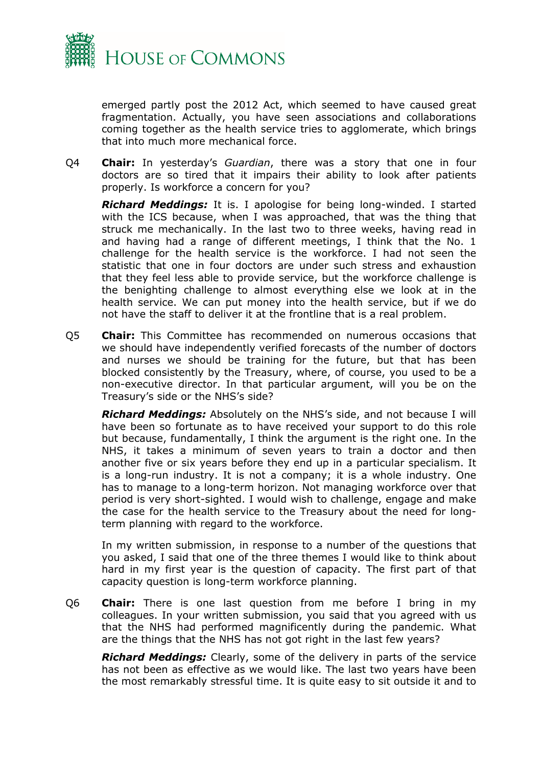

emerged partly post the 2012 Act, which seemed to have caused great fragmentation. Actually, you have seen associations and collaborations coming together as the health service tries to agglomerate, which brings that into much more mechanical force.

Q4 **Chair:** In yesterday's *Guardian*, there was a story that one in four doctors are so tired that it impairs their ability to look after patients properly. Is workforce a concern for you?

*Richard Meddings:* It is. I apologise for being long-winded. I started with the ICS because, when I was approached, that was the thing that struck me mechanically. In the last two to three weeks, having read in and having had a range of different meetings, I think that the No. 1 challenge for the health service is the workforce. I had not seen the statistic that one in four doctors are under such stress and exhaustion that they feel less able to provide service, but the workforce challenge is the benighting challenge to almost everything else we look at in the health service. We can put money into the health service, but if we do not have the staff to deliver it at the frontline that is a real problem.

Q5 **Chair:** This Committee has recommended on numerous occasions that we should have independently verified forecasts of the number of doctors and nurses we should be training for the future, but that has been blocked consistently by the Treasury, where, of course, you used to be a non-executive director. In that particular argument, will you be on the Treasury's side or the NHS's side?

*Richard Meddings:* Absolutely on the NHS's side, and not because I will have been so fortunate as to have received your support to do this role but because, fundamentally, I think the argument is the right one. In the NHS, it takes a minimum of seven years to train a doctor and then another five or six years before they end up in a particular specialism. It is a long-run industry. It is not a company; it is a whole industry. One has to manage to a long-term horizon. Not managing workforce over that period is very short-sighted. I would wish to challenge, engage and make the case for the health service to the Treasury about the need for longterm planning with regard to the workforce.

In my written submission, in response to a number of the questions that you asked, I said that one of the three themes I would like to think about hard in my first year is the question of capacity. The first part of that capacity question is long-term workforce planning.

Q6 **Chair:** There is one last question from me before I bring in my colleagues. In your written submission, you said that you agreed with us that the NHS had performed magnificently during the pandemic. What are the things that the NHS has not got right in the last few years?

*Richard Meddings:* Clearly, some of the delivery in parts of the service has not been as effective as we would like. The last two years have been the most remarkably stressful time. It is quite easy to sit outside it and to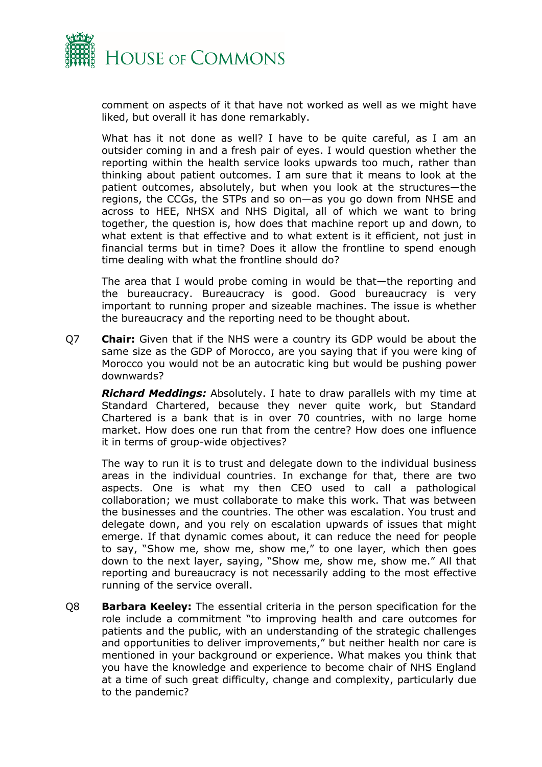

comment on aspects of it that have not worked as well as we might have liked, but overall it has done remarkably.

What has it not done as well? I have to be quite careful, as I am an outsider coming in and a fresh pair of eyes. I would question whether the reporting within the health service looks upwards too much, rather than thinking about patient outcomes. I am sure that it means to look at the patient outcomes, absolutely, but when you look at the structures—the regions, the CCGs, the STPs and so on—as you go down from NHSE and across to HEE, NHSX and NHS Digital, all of which we want to bring together, the question is, how does that machine report up and down, to what extent is that effective and to what extent is it efficient, not just in financial terms but in time? Does it allow the frontline to spend enough time dealing with what the frontline should do?

The area that I would probe coming in would be that—the reporting and the bureaucracy. Bureaucracy is good. Good bureaucracy is very important to running proper and sizeable machines. The issue is whether the bureaucracy and the reporting need to be thought about.

Q7 **Chair:** Given that if the NHS were a country its GDP would be about the same size as the GDP of Morocco, are you saying that if you were king of Morocco you would not be an autocratic king but would be pushing power downwards?

*Richard Meddings:* Absolutely. I hate to draw parallels with my time at Standard Chartered, because they never quite work, but Standard Chartered is a bank that is in over 70 countries, with no large home market. How does one run that from the centre? How does one influence it in terms of group-wide objectives?

The way to run it is to trust and delegate down to the individual business areas in the individual countries. In exchange for that, there are two aspects. One is what my then CEO used to call a pathological collaboration; we must collaborate to make this work. That was between the businesses and the countries. The other was escalation. You trust and delegate down, and you rely on escalation upwards of issues that might emerge. If that dynamic comes about, it can reduce the need for people to say, "Show me, show me, show me," to one layer, which then goes down to the next layer, saying, "Show me, show me, show me." All that reporting and bureaucracy is not necessarily adding to the most effective running of the service overall.

Q8 **Barbara Keeley:** The essential criteria in the person specification for the role include a commitment "to improving health and care outcomes for patients and the public, with an understanding of the strategic challenges and opportunities to deliver improvements," but neither health nor care is mentioned in your background or experience. What makes you think that you have the knowledge and experience to become chair of NHS England at a time of such great difficulty, change and complexity, particularly due to the pandemic?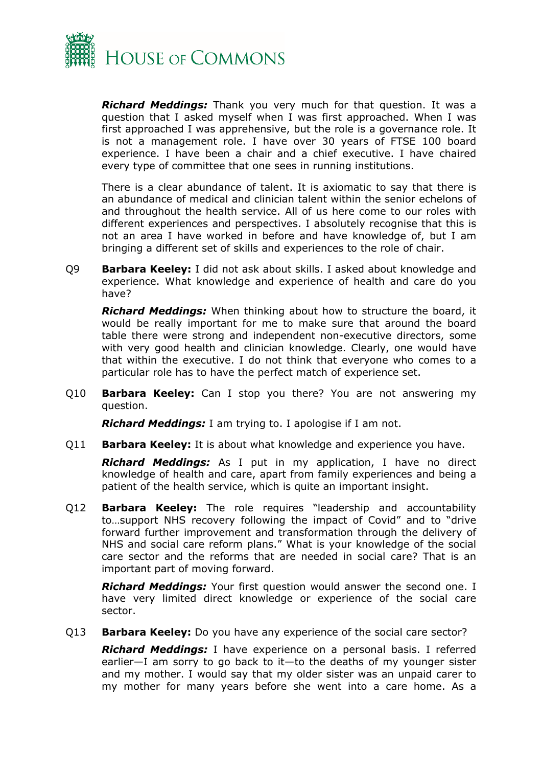

*Richard Meddings:* Thank you very much for that question. It was a question that I asked myself when I was first approached. When I was first approached I was apprehensive, but the role is a governance role. It is not a management role. I have over 30 years of FTSE 100 board experience. I have been a chair and a chief executive. I have chaired every type of committee that one sees in running institutions.

There is a clear abundance of talent. It is axiomatic to say that there is an abundance of medical and clinician talent within the senior echelons of and throughout the health service. All of us here come to our roles with different experiences and perspectives. I absolutely recognise that this is not an area I have worked in before and have knowledge of, but I am bringing a different set of skills and experiences to the role of chair.

Q9 **Barbara Keeley:** I did not ask about skills. I asked about knowledge and experience. What knowledge and experience of health and care do you have?

*Richard Meddings:* When thinking about how to structure the board, it would be really important for me to make sure that around the board table there were strong and independent non-executive directors, some with very good health and clinician knowledge. Clearly, one would have that within the executive. I do not think that everyone who comes to a particular role has to have the perfect match of experience set.

Q10 **Barbara Keeley:** Can I stop you there? You are not answering my question.

*Richard Meddings:* I am trying to. I apologise if I am not.

Q11 **Barbara Keeley:** It is about what knowledge and experience you have.

*Richard Meddings:* As I put in my application, I have no direct knowledge of health and care, apart from family experiences and being a patient of the health service, which is quite an important insight.

Q12 **Barbara Keeley:** The role requires "leadership and accountability to…support NHS recovery following the impact of Covid" and to "drive forward further improvement and transformation through the delivery of NHS and social care reform plans." What is your knowledge of the social care sector and the reforms that are needed in social care? That is an important part of moving forward.

*Richard Meddings:* Your first question would answer the second one. I have very limited direct knowledge or experience of the social care sector.

Q13 **Barbara Keeley:** Do you have any experience of the social care sector?

*Richard Meddings:* I have experience on a personal basis. I referred earlier—I am sorry to go back to it—to the deaths of my younger sister and my mother. I would say that my older sister was an unpaid carer to my mother for many years before she went into a care home. As a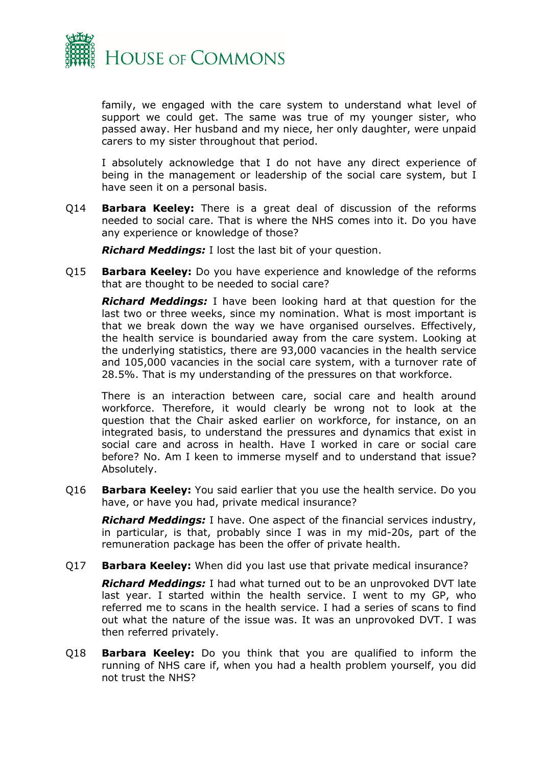

family, we engaged with the care system to understand what level of support we could get. The same was true of my younger sister, who passed away. Her husband and my niece, her only daughter, were unpaid carers to my sister throughout that period.

I absolutely acknowledge that I do not have any direct experience of being in the management or leadership of the social care system, but I have seen it on a personal basis.

Q14 **Barbara Keeley:** There is a great deal of discussion of the reforms needed to social care. That is where the NHS comes into it. Do you have any experience or knowledge of those?

*Richard Meddings:* I lost the last bit of your question.

Q15 **Barbara Keeley:** Do you have experience and knowledge of the reforms that are thought to be needed to social care?

*Richard Meddings:* I have been looking hard at that question for the last two or three weeks, since my nomination. What is most important is that we break down the way we have organised ourselves. Effectively, the health service is boundaried away from the care system. Looking at the underlying statistics, there are 93,000 vacancies in the health service and 105,000 vacancies in the social care system, with a turnover rate of 28.5%. That is my understanding of the pressures on that workforce.

There is an interaction between care, social care and health around workforce. Therefore, it would clearly be wrong not to look at the question that the Chair asked earlier on workforce, for instance, on an integrated basis, to understand the pressures and dynamics that exist in social care and across in health. Have I worked in care or social care before? No. Am I keen to immerse myself and to understand that issue? Absolutely.

Q16 **Barbara Keeley:** You said earlier that you use the health service. Do you have, or have you had, private medical insurance?

*Richard Meddings:* I have. One aspect of the financial services industry, in particular, is that, probably since I was in my mid-20s, part of the remuneration package has been the offer of private health.

#### Q17 **Barbara Keeley:** When did you last use that private medical insurance?

*Richard Meddings:* I had what turned out to be an unprovoked DVT late last year. I started within the health service. I went to my GP, who referred me to scans in the health service. I had a series of scans to find out what the nature of the issue was. It was an unprovoked DVT. I was then referred privately.

Q18 **Barbara Keeley:** Do you think that you are qualified to inform the running of NHS care if, when you had a health problem yourself, you did not trust the NHS?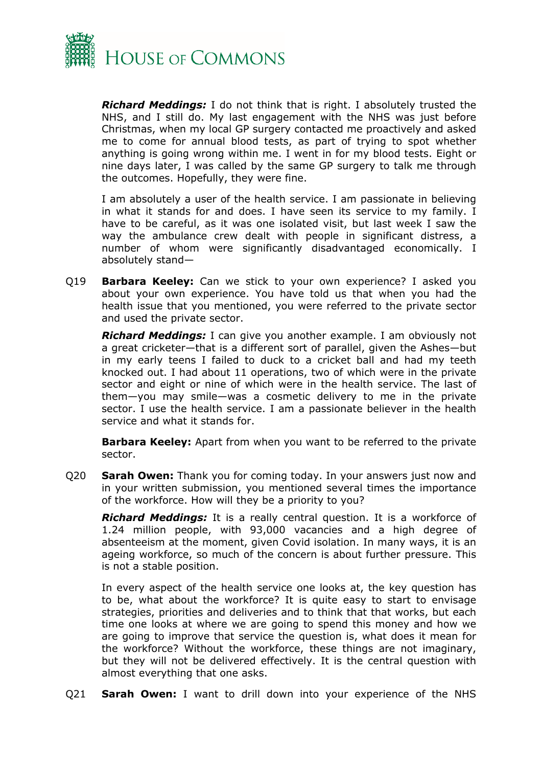

*Richard Meddings:* I do not think that is right. I absolutely trusted the NHS, and I still do. My last engagement with the NHS was just before Christmas, when my local GP surgery contacted me proactively and asked me to come for annual blood tests, as part of trying to spot whether anything is going wrong within me. I went in for my blood tests. Eight or nine days later, I was called by the same GP surgery to talk me through the outcomes. Hopefully, they were fine.

I am absolutely a user of the health service. I am passionate in believing in what it stands for and does. I have seen its service to my family. I have to be careful, as it was one isolated visit, but last week I saw the way the ambulance crew dealt with people in significant distress, a number of whom were significantly disadvantaged economically. I absolutely stand—

Q19 **Barbara Keeley:** Can we stick to your own experience? I asked you about your own experience. You have told us that when you had the health issue that you mentioned, you were referred to the private sector and used the private sector.

*Richard Meddings:* I can give you another example. I am obviously not a great cricketer—that is a different sort of parallel, given the Ashes—but in my early teens I failed to duck to a cricket ball and had my teeth knocked out. I had about 11 operations, two of which were in the private sector and eight or nine of which were in the health service. The last of them—you may smile—was a cosmetic delivery to me in the private sector. I use the health service. I am a passionate believer in the health service and what it stands for.

**Barbara Keeley:** Apart from when you want to be referred to the private sector.

Q20 **Sarah Owen:** Thank you for coming today. In your answers just now and in your written submission, you mentioned several times the importance of the workforce. How will they be a priority to you?

*Richard Meddings:* It is a really central question. It is a workforce of 1.24 million people, with 93,000 vacancies and a high degree of absenteeism at the moment, given Covid isolation. In many ways, it is an ageing workforce, so much of the concern is about further pressure. This is not a stable position.

In every aspect of the health service one looks at, the key question has to be, what about the workforce? It is quite easy to start to envisage strategies, priorities and deliveries and to think that that works, but each time one looks at where we are going to spend this money and how we are going to improve that service the question is, what does it mean for the workforce? Without the workforce, these things are not imaginary, but they will not be delivered effectively. It is the central question with almost everything that one asks.

Q21 **Sarah Owen:** I want to drill down into your experience of the NHS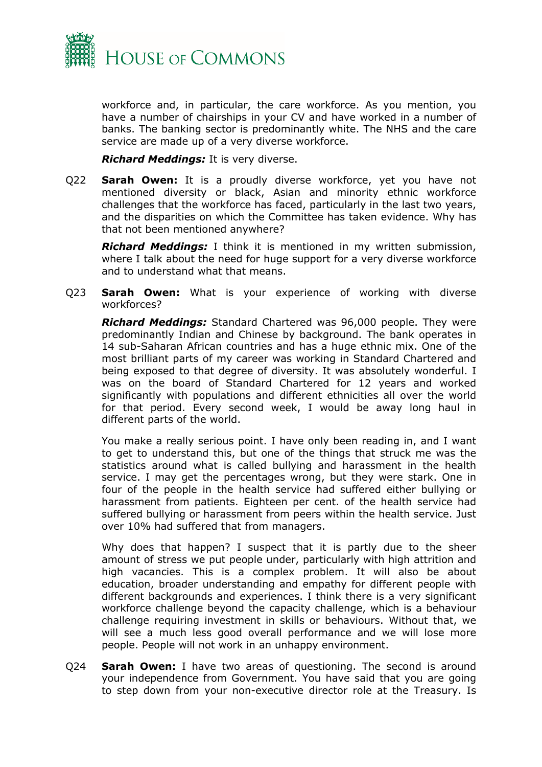

workforce and, in particular, the care workforce. As you mention, you have a number of chairships in your CV and have worked in a number of banks. The banking sector is predominantly white. The NHS and the care service are made up of a very diverse workforce.

*Richard Meddings:* It is very diverse.

Q22 **Sarah Owen:** It is a proudly diverse workforce, yet you have not mentioned diversity or black, Asian and minority ethnic workforce challenges that the workforce has faced, particularly in the last two years, and the disparities on which the Committee has taken evidence. Why has that not been mentioned anywhere?

*Richard Meddings:* I think it is mentioned in my written submission, where I talk about the need for huge support for a very diverse workforce and to understand what that means.

Q23 **Sarah Owen:** What is your experience of working with diverse workforces?

*Richard Meddings:* Standard Chartered was 96,000 people. They were predominantly Indian and Chinese by background. The bank operates in 14 sub-Saharan African countries and has a huge ethnic mix. One of the most brilliant parts of my career was working in Standard Chartered and being exposed to that degree of diversity. It was absolutely wonderful. I was on the board of Standard Chartered for 12 years and worked significantly with populations and different ethnicities all over the world for that period. Every second week, I would be away long haul in different parts of the world.

You make a really serious point. I have only been reading in, and I want to get to understand this, but one of the things that struck me was the statistics around what is called bullying and harassment in the health service. I may get the percentages wrong, but they were stark. One in four of the people in the health service had suffered either bullying or harassment from patients. Eighteen per cent. of the health service had suffered bullying or harassment from peers within the health service. Just over 10% had suffered that from managers.

Why does that happen? I suspect that it is partly due to the sheer amount of stress we put people under, particularly with high attrition and high vacancies. This is a complex problem. It will also be about education, broader understanding and empathy for different people with different backgrounds and experiences. I think there is a very significant workforce challenge beyond the capacity challenge, which is a behaviour challenge requiring investment in skills or behaviours. Without that, we will see a much less good overall performance and we will lose more people. People will not work in an unhappy environment.

Q24 **Sarah Owen:** I have two areas of questioning. The second is around your independence from Government. You have said that you are going to step down from your non-executive director role at the Treasury. Is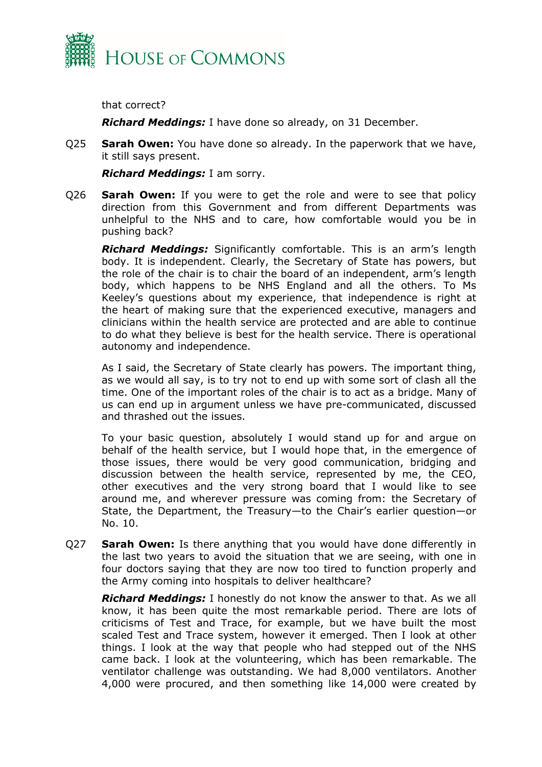

that correct?

*Richard Meddings:* I have done so already, on 31 December.

Q25 **Sarah Owen:** You have done so already. In the paperwork that we have, it still says present.

*Richard Meddings:* I am sorry.

Q26 **Sarah Owen:** If you were to get the role and were to see that policy direction from this Government and from different Departments was unhelpful to the NHS and to care, how comfortable would you be in pushing back?

*Richard Meddings:* Significantly comfortable. This is an arm's length body. It is independent. Clearly, the Secretary of State has powers, but the role of the chair is to chair the board of an independent, arm's length body, which happens to be NHS England and all the others. To Ms Keeley's questions about my experience, that independence is right at the heart of making sure that the experienced executive, managers and clinicians within the health service are protected and are able to continue to do what they believe is best for the health service. There is operational autonomy and independence.

As I said, the Secretary of State clearly has powers. The important thing, as we would all say, is to try not to end up with some sort of clash all the time. One of the important roles of the chair is to act as a bridge. Many of us can end up in argument unless we have pre-communicated, discussed and thrashed out the issues.

To your basic question, absolutely I would stand up for and argue on behalf of the health service, but I would hope that, in the emergence of those issues, there would be very good communication, bridging and discussion between the health service, represented by me, the CEO, other executives and the very strong board that I would like to see around me, and wherever pressure was coming from: the Secretary of State, the Department, the Treasury—to the Chair's earlier question—or No. 10.

Q27 **Sarah Owen:** Is there anything that you would have done differently in the last two years to avoid the situation that we are seeing, with one in four doctors saying that they are now too tired to function properly and the Army coming into hospitals to deliver healthcare?

*Richard Meddings:* I honestly do not know the answer to that. As we all know, it has been quite the most remarkable period. There are lots of criticisms of Test and Trace, for example, but we have built the most scaled Test and Trace system, however it emerged. Then I look at other things. I look at the way that people who had stepped out of the NHS came back. I look at the volunteering, which has been remarkable. The ventilator challenge was outstanding. We had 8,000 ventilators. Another 4,000 were procured, and then something like 14,000 were created by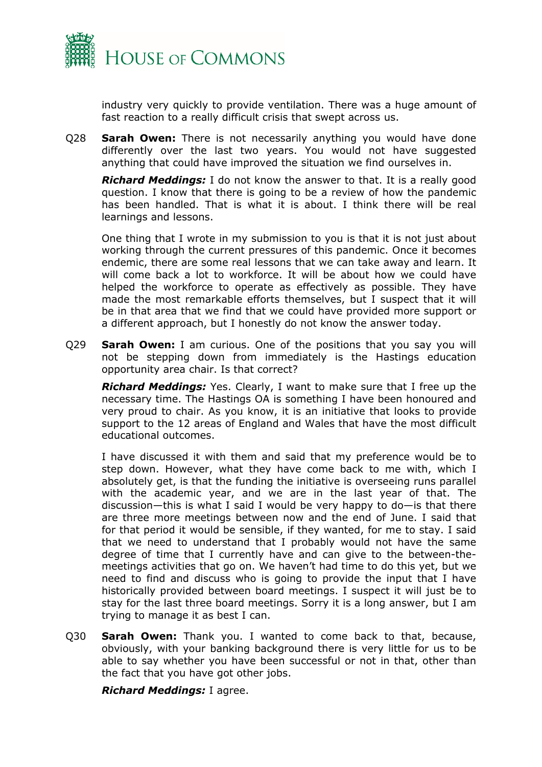

industry very quickly to provide ventilation. There was a huge amount of fast reaction to a really difficult crisis that swept across us.

Q28 **Sarah Owen:** There is not necessarily anything you would have done differently over the last two years. You would not have suggested anything that could have improved the situation we find ourselves in.

*Richard Meddings:* I do not know the answer to that. It is a really good question. I know that there is going to be a review of how the pandemic has been handled. That is what it is about. I think there will be real learnings and lessons.

One thing that I wrote in my submission to you is that it is not just about working through the current pressures of this pandemic. Once it becomes endemic, there are some real lessons that we can take away and learn. It will come back a lot to workforce. It will be about how we could have helped the workforce to operate as effectively as possible. They have made the most remarkable efforts themselves, but I suspect that it will be in that area that we find that we could have provided more support or a different approach, but I honestly do not know the answer today.

Q29 **Sarah Owen:** I am curious. One of the positions that you say you will not be stepping down from immediately is the Hastings education opportunity area chair. Is that correct?

*Richard Meddings:* Yes. Clearly, I want to make sure that I free up the necessary time. The Hastings OA is something I have been honoured and very proud to chair. As you know, it is an initiative that looks to provide support to the 12 areas of England and Wales that have the most difficult educational outcomes.

I have discussed it with them and said that my preference would be to step down. However, what they have come back to me with, which I absolutely get, is that the funding the initiative is overseeing runs parallel with the academic year, and we are in the last year of that. The discussion—this is what I said I would be very happy to do—is that there are three more meetings between now and the end of June. I said that for that period it would be sensible, if they wanted, for me to stay. I said that we need to understand that I probably would not have the same degree of time that I currently have and can give to the between-themeetings activities that go on. We haven't had time to do this yet, but we need to find and discuss who is going to provide the input that I have historically provided between board meetings. I suspect it will just be to stay for the last three board meetings. Sorry it is a long answer, but I am trying to manage it as best I can.

Q30 **Sarah Owen:** Thank you. I wanted to come back to that, because, obviously, with your banking background there is very little for us to be able to say whether you have been successful or not in that, other than the fact that you have got other jobs.

*Richard Meddings:* I agree.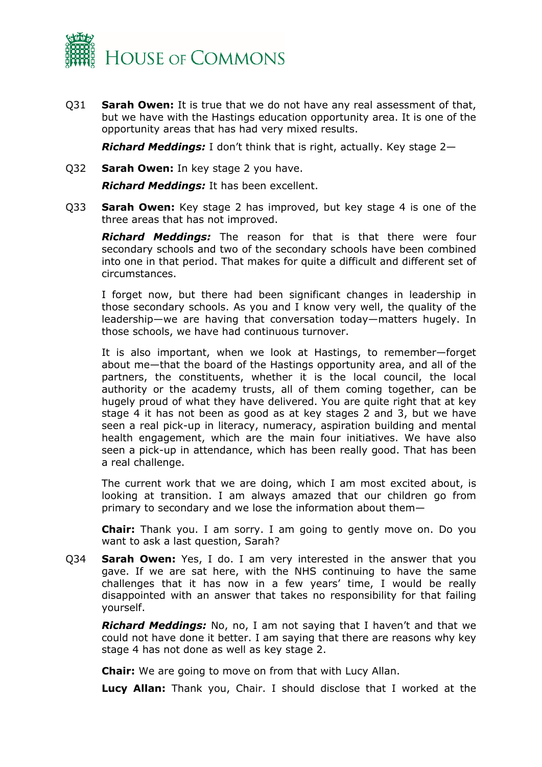

Q31 **Sarah Owen:** It is true that we do not have any real assessment of that, but we have with the Hastings education opportunity area. It is one of the opportunity areas that has had very mixed results.

*Richard Meddings:* I don't think that is right, actually. Key stage 2—

Q32 **Sarah Owen:** In key stage 2 you have.

*Richard Meddings:* It has been excellent.

Q33 **Sarah Owen:** Key stage 2 has improved, but key stage 4 is one of the three areas that has not improved.

*Richard Meddings:* The reason for that is that there were four secondary schools and two of the secondary schools have been combined into one in that period. That makes for quite a difficult and different set of circumstances.

I forget now, but there had been significant changes in leadership in those secondary schools. As you and I know very well, the quality of the leadership—we are having that conversation today—matters hugely. In those schools, we have had continuous turnover.

It is also important, when we look at Hastings, to remember—forget about me—that the board of the Hastings opportunity area, and all of the partners, the constituents, whether it is the local council, the local authority or the academy trusts, all of them coming together, can be hugely proud of what they have delivered. You are quite right that at key stage 4 it has not been as good as at key stages 2 and 3, but we have seen a real pick-up in literacy, numeracy, aspiration building and mental health engagement, which are the main four initiatives. We have also seen a pick-up in attendance, which has been really good. That has been a real challenge.

The current work that we are doing, which I am most excited about, is looking at transition. I am always amazed that our children go from primary to secondary and we lose the information about them—

**Chair:** Thank you. I am sorry. I am going to gently move on. Do you want to ask a last question, Sarah?

Q34 **Sarah Owen:** Yes, I do. I am very interested in the answer that you gave. If we are sat here, with the NHS continuing to have the same challenges that it has now in a few years' time, I would be really disappointed with an answer that takes no responsibility for that failing yourself.

*Richard Meddings:* No, no, I am not saying that I haven't and that we could not have done it better. I am saying that there are reasons why key stage 4 has not done as well as key stage 2.

**Chair:** We are going to move on from that with Lucy Allan.

**Lucy Allan:** Thank you, Chair. I should disclose that I worked at the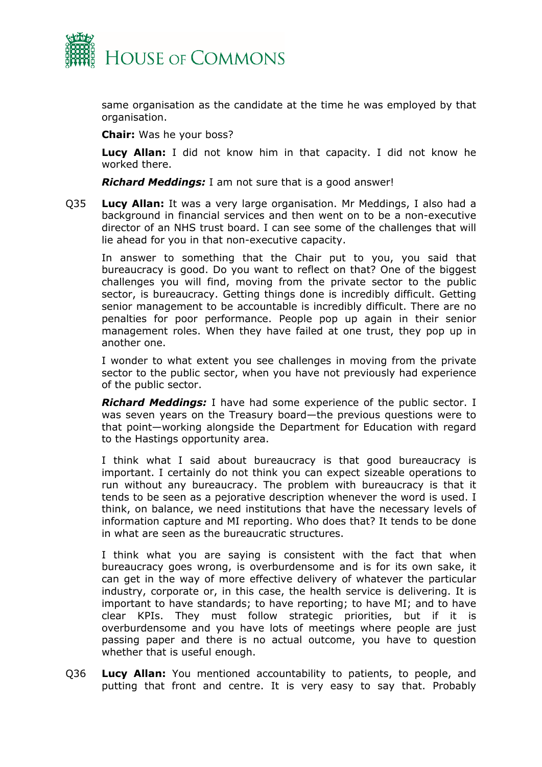

same organisation as the candidate at the time he was employed by that organisation.

**Chair:** Was he your boss?

**Lucy Allan:** I did not know him in that capacity. I did not know he worked there.

*Richard Meddings:* I am not sure that is a good answer!

Q35 **Lucy Allan:** It was a very large organisation. Mr Meddings, I also had a background in financial services and then went on to be a non-executive director of an NHS trust board. I can see some of the challenges that will lie ahead for you in that non-executive capacity.

In answer to something that the Chair put to you, you said that bureaucracy is good. Do you want to reflect on that? One of the biggest challenges you will find, moving from the private sector to the public sector, is bureaucracy. Getting things done is incredibly difficult. Getting senior management to be accountable is incredibly difficult. There are no penalties for poor performance. People pop up again in their senior management roles. When they have failed at one trust, they pop up in another one.

I wonder to what extent you see challenges in moving from the private sector to the public sector, when you have not previously had experience of the public sector.

*Richard Meddings:* I have had some experience of the public sector. I was seven years on the Treasury board—the previous questions were to that point—working alongside the Department for Education with regard to the Hastings opportunity area.

I think what I said about bureaucracy is that good bureaucracy is important. I certainly do not think you can expect sizeable operations to run without any bureaucracy. The problem with bureaucracy is that it tends to be seen as a pejorative description whenever the word is used. I think, on balance, we need institutions that have the necessary levels of information capture and MI reporting. Who does that? It tends to be done in what are seen as the bureaucratic structures.

I think what you are saying is consistent with the fact that when bureaucracy goes wrong, is overburdensome and is for its own sake, it can get in the way of more effective delivery of whatever the particular industry, corporate or, in this case, the health service is delivering. It is important to have standards; to have reporting; to have MI; and to have clear KPIs. They must follow strategic priorities, but if it is overburdensome and you have lots of meetings where people are just passing paper and there is no actual outcome, you have to question whether that is useful enough.

Q36 **Lucy Allan:** You mentioned accountability to patients, to people, and putting that front and centre. It is very easy to say that. Probably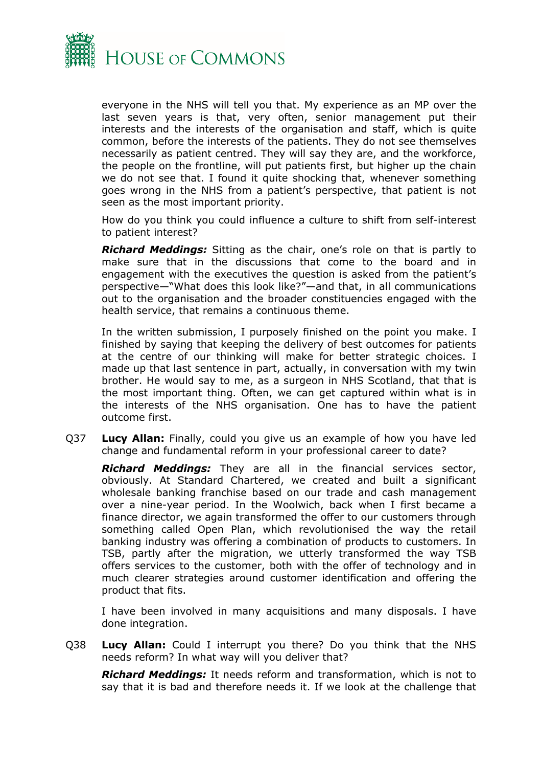

everyone in the NHS will tell you that. My experience as an MP over the last seven years is that, very often, senior management put their interests and the interests of the organisation and staff, which is quite common, before the interests of the patients. They do not see themselves necessarily as patient centred. They will say they are, and the workforce, the people on the frontline, will put patients first, but higher up the chain we do not see that. I found it quite shocking that, whenever something goes wrong in the NHS from a patient's perspective, that patient is not seen as the most important priority.

How do you think you could influence a culture to shift from self-interest to patient interest?

*Richard Meddings:* Sitting as the chair, one's role on that is partly to make sure that in the discussions that come to the board and in engagement with the executives the question is asked from the patient's perspective—"What does this look like?"—and that, in all communications out to the organisation and the broader constituencies engaged with the health service, that remains a continuous theme.

In the written submission, I purposely finished on the point you make. I finished by saying that keeping the delivery of best outcomes for patients at the centre of our thinking will make for better strategic choices. I made up that last sentence in part, actually, in conversation with my twin brother. He would say to me, as a surgeon in NHS Scotland, that that is the most important thing. Often, we can get captured within what is in the interests of the NHS organisation. One has to have the patient outcome first.

Q37 **Lucy Allan:** Finally, could you give us an example of how you have led change and fundamental reform in your professional career to date?

*Richard Meddings:* They are all in the financial services sector, obviously. At Standard Chartered, we created and built a significant wholesale banking franchise based on our trade and cash management over a nine-year period. In the Woolwich, back when I first became a finance director, we again transformed the offer to our customers through something called Open Plan, which revolutionised the way the retail banking industry was offering a combination of products to customers. In TSB, partly after the migration, we utterly transformed the way TSB offers services to the customer, both with the offer of technology and in much clearer strategies around customer identification and offering the product that fits.

I have been involved in many acquisitions and many disposals. I have done integration.

Q38 **Lucy Allan:** Could I interrupt you there? Do you think that the NHS needs reform? In what way will you deliver that?

*Richard Meddings:* It needs reform and transformation, which is not to say that it is bad and therefore needs it. If we look at the challenge that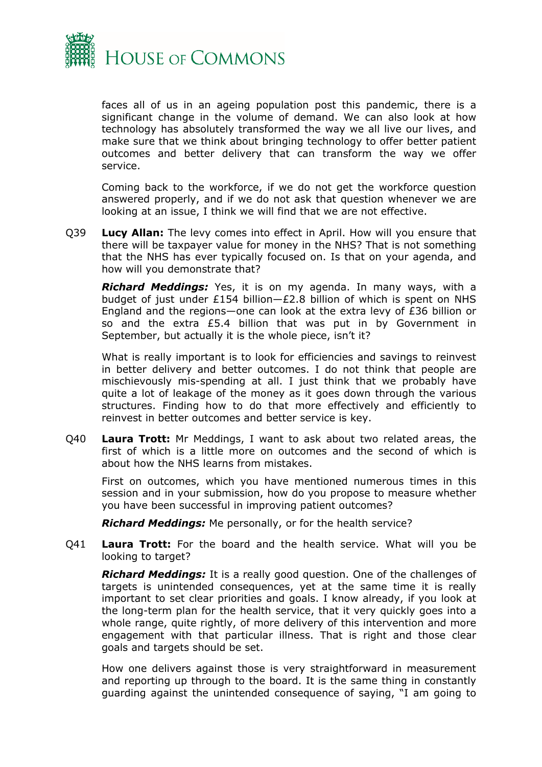

faces all of us in an ageing population post this pandemic, there is a significant change in the volume of demand. We can also look at how technology has absolutely transformed the way we all live our lives, and make sure that we think about bringing technology to offer better patient outcomes and better delivery that can transform the way we offer service.

Coming back to the workforce, if we do not get the workforce question answered properly, and if we do not ask that question whenever we are looking at an issue, I think we will find that we are not effective.

Q39 **Lucy Allan:** The levy comes into effect in April. How will you ensure that there will be taxpayer value for money in the NHS? That is not something that the NHS has ever typically focused on. Is that on your agenda, and how will you demonstrate that?

*Richard Meddings:* Yes, it is on my agenda. In many ways, with a budget of just under £154 billion—£2.8 billion of which is spent on NHS England and the regions—one can look at the extra levy of £36 billion or so and the extra £5.4 billion that was put in by Government in September, but actually it is the whole piece, isn't it?

What is really important is to look for efficiencies and savings to reinvest in better delivery and better outcomes. I do not think that people are mischievously mis-spending at all. I just think that we probably have quite a lot of leakage of the money as it goes down through the various structures. Finding how to do that more effectively and efficiently to reinvest in better outcomes and better service is key.

Q40 **Laura Trott:** Mr Meddings, I want to ask about two related areas, the first of which is a little more on outcomes and the second of which is about how the NHS learns from mistakes.

First on outcomes, which you have mentioned numerous times in this session and in your submission, how do you propose to measure whether you have been successful in improving patient outcomes?

*Richard Meddings:* Me personally, or for the health service?

Q41 **Laura Trott:** For the board and the health service. What will you be looking to target?

*Richard Meddings:* It is a really good question. One of the challenges of targets is unintended consequences, yet at the same time it is really important to set clear priorities and goals. I know already, if you look at the long-term plan for the health service, that it very quickly goes into a whole range, quite rightly, of more delivery of this intervention and more engagement with that particular illness. That is right and those clear goals and targets should be set.

How one delivers against those is very straightforward in measurement and reporting up through to the board. It is the same thing in constantly guarding against the unintended consequence of saying, "I am going to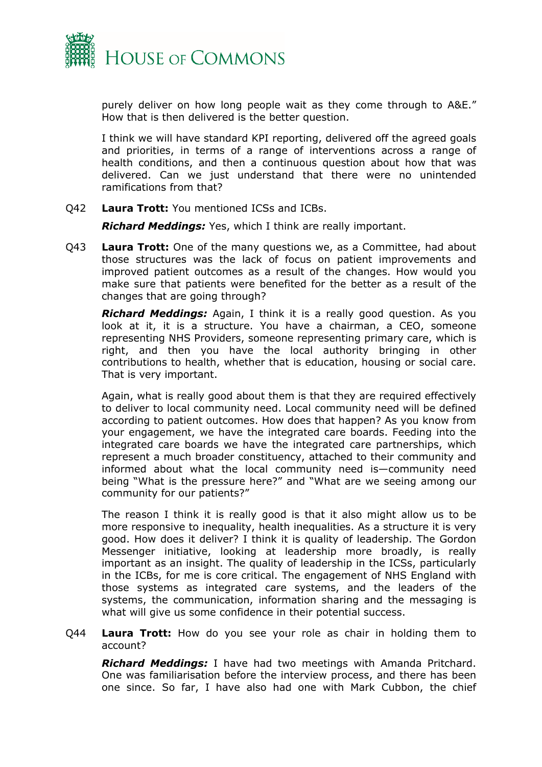

purely deliver on how long people wait as they come through to A&E." How that is then delivered is the better question.

I think we will have standard KPI reporting, delivered off the agreed goals and priorities, in terms of a range of interventions across a range of health conditions, and then a continuous question about how that was delivered. Can we just understand that there were no unintended ramifications from that?

Q42 **Laura Trott:** You mentioned ICSs and ICBs.

*Richard Meddings:* Yes, which I think are really important.

Q43 **Laura Trott:** One of the many questions we, as a Committee, had about those structures was the lack of focus on patient improvements and improved patient outcomes as a result of the changes. How would you make sure that patients were benefited for the better as a result of the changes that are going through?

*Richard Meddings:* Again, I think it is a really good question. As you look at it, it is a structure. You have a chairman, a CEO, someone representing NHS Providers, someone representing primary care, which is right, and then you have the local authority bringing in other contributions to health, whether that is education, housing or social care. That is very important.

Again, what is really good about them is that they are required effectively to deliver to local community need. Local community need will be defined according to patient outcomes. How does that happen? As you know from your engagement, we have the integrated care boards. Feeding into the integrated care boards we have the integrated care partnerships, which represent a much broader constituency, attached to their community and informed about what the local community need is—community need being "What is the pressure here?" and "What are we seeing among our community for our patients?"

The reason I think it is really good is that it also might allow us to be more responsive to inequality, health inequalities. As a structure it is very good. How does it deliver? I think it is quality of leadership. The Gordon Messenger initiative, looking at leadership more broadly, is really important as an insight. The quality of leadership in the ICSs, particularly in the ICBs, for me is core critical. The engagement of NHS England with those systems as integrated care systems, and the leaders of the systems, the communication, information sharing and the messaging is what will give us some confidence in their potential success.

Q44 **Laura Trott:** How do you see your role as chair in holding them to account?

*Richard Meddings:* I have had two meetings with Amanda Pritchard. One was familiarisation before the interview process, and there has been one since. So far, I have also had one with Mark Cubbon, the chief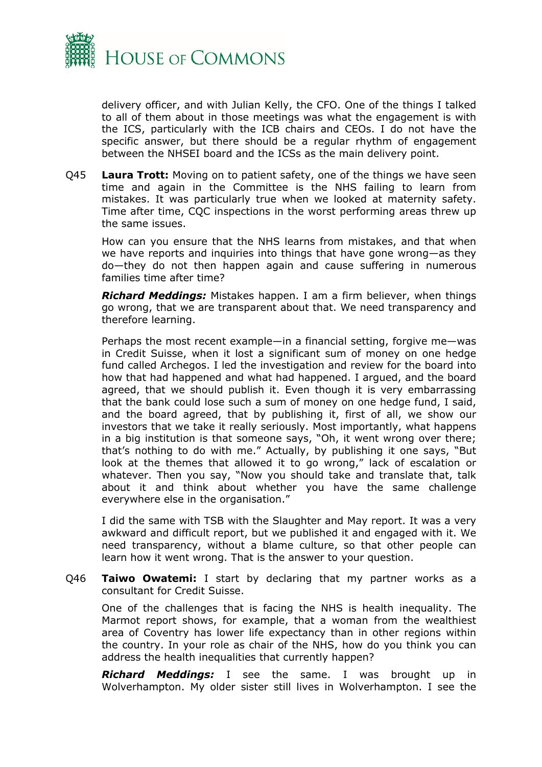

delivery officer, and with Julian Kelly, the CFO. One of the things I talked to all of them about in those meetings was what the engagement is with the ICS, particularly with the ICB chairs and CEOs. I do not have the specific answer, but there should be a regular rhythm of engagement between the NHSEI board and the ICSs as the main delivery point.

Q45 **Laura Trott:** Moving on to patient safety, one of the things we have seen time and again in the Committee is the NHS failing to learn from mistakes. It was particularly true when we looked at maternity safety. Time after time, CQC inspections in the worst performing areas threw up the same issues.

How can you ensure that the NHS learns from mistakes, and that when we have reports and inquiries into things that have gone wrong—as they do—they do not then happen again and cause suffering in numerous families time after time?

*Richard Meddings:* Mistakes happen. I am a firm believer, when things go wrong, that we are transparent about that. We need transparency and therefore learning.

Perhaps the most recent example—in a financial setting, forgive me—was in Credit Suisse, when it lost a significant sum of money on one hedge fund called Archegos. I led the investigation and review for the board into how that had happened and what had happened. I argued, and the board agreed, that we should publish it. Even though it is very embarrassing that the bank could lose such a sum of money on one hedge fund, I said, and the board agreed, that by publishing it, first of all, we show our investors that we take it really seriously. Most importantly, what happens in a big institution is that someone says, "Oh, it went wrong over there; that's nothing to do with me." Actually, by publishing it one says, "But look at the themes that allowed it to go wrong," lack of escalation or whatever. Then you say, "Now you should take and translate that, talk about it and think about whether you have the same challenge everywhere else in the organisation."

I did the same with TSB with the Slaughter and May report. It was a very awkward and difficult report, but we published it and engaged with it. We need transparency, without a blame culture, so that other people can learn how it went wrong. That is the answer to your question.

Q46 **Taiwo Owatemi:** I start by declaring that my partner works as a consultant for Credit Suisse.

One of the challenges that is facing the NHS is health inequality. The Marmot report shows, for example, that a woman from the wealthiest area of Coventry has lower life expectancy than in other regions within the country. In your role as chair of the NHS, how do you think you can address the health inequalities that currently happen?

*Richard Meddings:* I see the same. I was brought up in Wolverhampton. My older sister still lives in Wolverhampton. I see the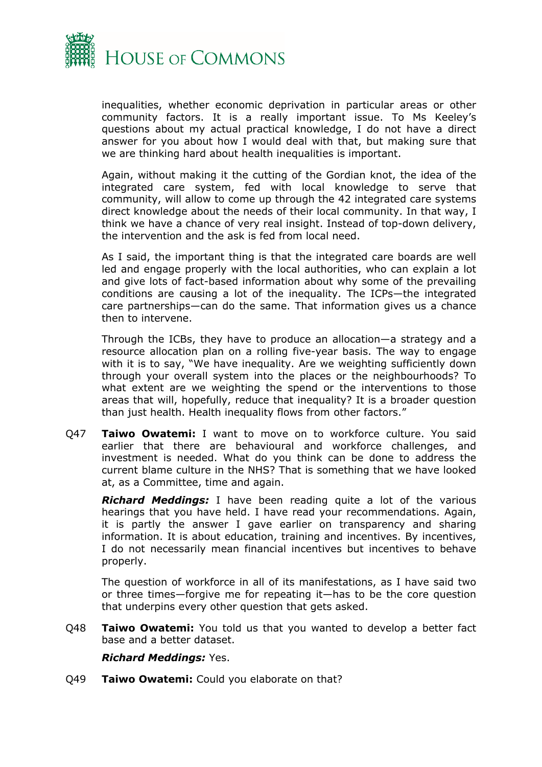

inequalities, whether economic deprivation in particular areas or other community factors. It is a really important issue. To Ms Keeley's questions about my actual practical knowledge, I do not have a direct answer for you about how I would deal with that, but making sure that we are thinking hard about health inequalities is important.

Again, without making it the cutting of the Gordian knot, the idea of the integrated care system, fed with local knowledge to serve that community, will allow to come up through the 42 integrated care systems direct knowledge about the needs of their local community. In that way, I think we have a chance of very real insight. Instead of top-down delivery, the intervention and the ask is fed from local need.

As I said, the important thing is that the integrated care boards are well led and engage properly with the local authorities, who can explain a lot and give lots of fact-based information about why some of the prevailing conditions are causing a lot of the inequality. The ICPs—the integrated care partnerships—can do the same. That information gives us a chance then to intervene.

Through the ICBs, they have to produce an allocation—a strategy and a resource allocation plan on a rolling five-year basis. The way to engage with it is to say, "We have inequality. Are we weighting sufficiently down through your overall system into the places or the neighbourhoods? To what extent are we weighting the spend or the interventions to those areas that will, hopefully, reduce that inequality? It is a broader question than just health. Health inequality flows from other factors."

Q47 **Taiwo Owatemi:** I want to move on to workforce culture. You said earlier that there are behavioural and workforce challenges, and investment is needed. What do you think can be done to address the current blame culture in the NHS? That is something that we have looked at, as a Committee, time and again.

*Richard Meddings:* I have been reading quite a lot of the various hearings that you have held. I have read your recommendations. Again, it is partly the answer I gave earlier on transparency and sharing information. It is about education, training and incentives. By incentives, I do not necessarily mean financial incentives but incentives to behave properly.

The question of workforce in all of its manifestations, as I have said two or three times—forgive me for repeating it—has to be the core question that underpins every other question that gets asked.

Q48 **Taiwo Owatemi:** You told us that you wanted to develop a better fact base and a better dataset.

#### *Richard Meddings:* Yes.

Q49 **Taiwo Owatemi:** Could you elaborate on that?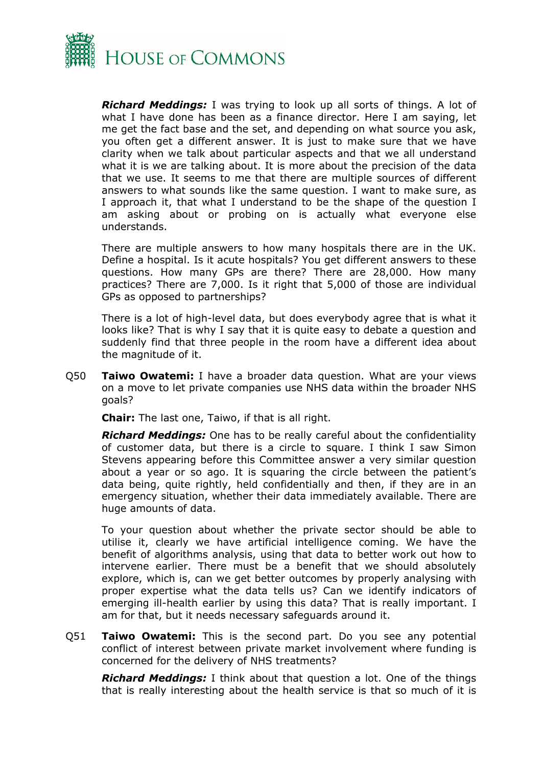

*Richard Meddings:* I was trying to look up all sorts of things. A lot of what I have done has been as a finance director. Here I am saying, let me get the fact base and the set, and depending on what source you ask, you often get a different answer. It is just to make sure that we have clarity when we talk about particular aspects and that we all understand what it is we are talking about. It is more about the precision of the data that we use. It seems to me that there are multiple sources of different answers to what sounds like the same question. I want to make sure, as I approach it, that what I understand to be the shape of the question I am asking about or probing on is actually what everyone else understands.

There are multiple answers to how many hospitals there are in the UK. Define a hospital. Is it acute hospitals? You get different answers to these questions. How many GPs are there? There are 28,000. How many practices? There are 7,000. Is it right that 5,000 of those are individual GPs as opposed to partnerships?

There is a lot of high-level data, but does everybody agree that is what it looks like? That is why I say that it is quite easy to debate a question and suddenly find that three people in the room have a different idea about the magnitude of it.

Q50 **Taiwo Owatemi:** I have a broader data question. What are your views on a move to let private companies use NHS data within the broader NHS goals?

**Chair:** The last one, Taiwo, if that is all right.

*Richard Meddings:* One has to be really careful about the confidentiality of customer data, but there is a circle to square. I think I saw Simon Stevens appearing before this Committee answer a very similar question about a year or so ago. It is squaring the circle between the patient's data being, quite rightly, held confidentially and then, if they are in an emergency situation, whether their data immediately available. There are huge amounts of data.

To your question about whether the private sector should be able to utilise it, clearly we have artificial intelligence coming. We have the benefit of algorithms analysis, using that data to better work out how to intervene earlier. There must be a benefit that we should absolutely explore, which is, can we get better outcomes by properly analysing with proper expertise what the data tells us? Can we identify indicators of emerging ill-health earlier by using this data? That is really important. I am for that, but it needs necessary safeguards around it.

Q51 **Taiwo Owatemi:** This is the second part. Do you see any potential conflict of interest between private market involvement where funding is concerned for the delivery of NHS treatments?

*Richard Meddings:* I think about that question a lot. One of the things that is really interesting about the health service is that so much of it is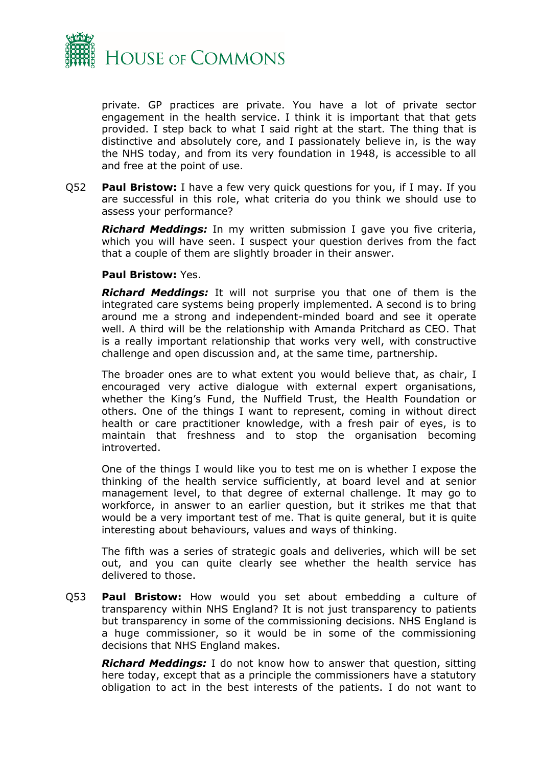

private. GP practices are private. You have a lot of private sector engagement in the health service. I think it is important that that gets provided. I step back to what I said right at the start. The thing that is distinctive and absolutely core, and I passionately believe in, is the way the NHS today, and from its very foundation in 1948, is accessible to all and free at the point of use.

Q52 **Paul Bristow:** I have a few very quick questions for you, if I may. If you are successful in this role, what criteria do you think we should use to assess your performance?

*Richard Meddings:* In my written submission I gave you five criteria, which you will have seen. I suspect your question derives from the fact that a couple of them are slightly broader in their answer.

#### **Paul Bristow:** Yes.

*Richard Meddings:* It will not surprise you that one of them is the integrated care systems being properly implemented. A second is to bring around me a strong and independent-minded board and see it operate well. A third will be the relationship with Amanda Pritchard as CEO. That is a really important relationship that works very well, with constructive challenge and open discussion and, at the same time, partnership.

The broader ones are to what extent you would believe that, as chair, I encouraged very active dialogue with external expert organisations, whether the King's Fund, the Nuffield Trust, the Health Foundation or others. One of the things I want to represent, coming in without direct health or care practitioner knowledge, with a fresh pair of eyes, is to maintain that freshness and to stop the organisation becoming introverted.

One of the things I would like you to test me on is whether I expose the thinking of the health service sufficiently, at board level and at senior management level, to that degree of external challenge. It may go to workforce, in answer to an earlier question, but it strikes me that that would be a very important test of me. That is quite general, but it is quite interesting about behaviours, values and ways of thinking.

The fifth was a series of strategic goals and deliveries, which will be set out, and you can quite clearly see whether the health service has delivered to those.

Q53 **Paul Bristow:** How would you set about embedding a culture of transparency within NHS England? It is not just transparency to patients but transparency in some of the commissioning decisions. NHS England is a huge commissioner, so it would be in some of the commissioning decisions that NHS England makes.

*Richard Meddings:* I do not know how to answer that question, sitting here today, except that as a principle the commissioners have a statutory obligation to act in the best interests of the patients. I do not want to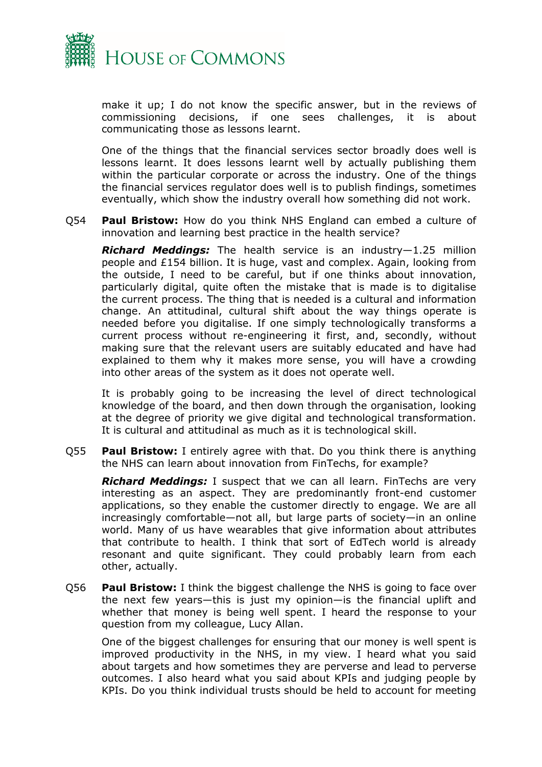

make it up; I do not know the specific answer, but in the reviews of commissioning decisions, if one sees challenges, it is about communicating those as lessons learnt.

One of the things that the financial services sector broadly does well is lessons learnt. It does lessons learnt well by actually publishing them within the particular corporate or across the industry. One of the things the financial services regulator does well is to publish findings, sometimes eventually, which show the industry overall how something did not work.

Q54 **Paul Bristow:** How do you think NHS England can embed a culture of innovation and learning best practice in the health service?

*Richard Meddings:* The health service is an industry—1.25 million people and £154 billion. It is huge, vast and complex. Again, looking from the outside, I need to be careful, but if one thinks about innovation, particularly digital, quite often the mistake that is made is to digitalise the current process. The thing that is needed is a cultural and information change. An attitudinal, cultural shift about the way things operate is needed before you digitalise. If one simply technologically transforms a current process without re-engineering it first, and, secondly, without making sure that the relevant users are suitably educated and have had explained to them why it makes more sense, you will have a crowding into other areas of the system as it does not operate well.

It is probably going to be increasing the level of direct technological knowledge of the board, and then down through the organisation, looking at the degree of priority we give digital and technological transformation. It is cultural and attitudinal as much as it is technological skill.

Q55 **Paul Bristow:** I entirely agree with that. Do you think there is anything the NHS can learn about innovation from FinTechs, for example?

*Richard Meddings:* I suspect that we can all learn. FinTechs are very interesting as an aspect. They are predominantly front-end customer applications, so they enable the customer directly to engage. We are all increasingly comfortable—not all, but large parts of society—in an online world. Many of us have wearables that give information about attributes that contribute to health. I think that sort of EdTech world is already resonant and quite significant. They could probably learn from each other, actually.

Q56 **Paul Bristow:** I think the biggest challenge the NHS is going to face over the next few years—this is just my opinion—is the financial uplift and whether that money is being well spent. I heard the response to your question from my colleague, Lucy Allan.

One of the biggest challenges for ensuring that our money is well spent is improved productivity in the NHS, in my view. I heard what you said about targets and how sometimes they are perverse and lead to perverse outcomes. I also heard what you said about KPIs and judging people by KPIs. Do you think individual trusts should be held to account for meeting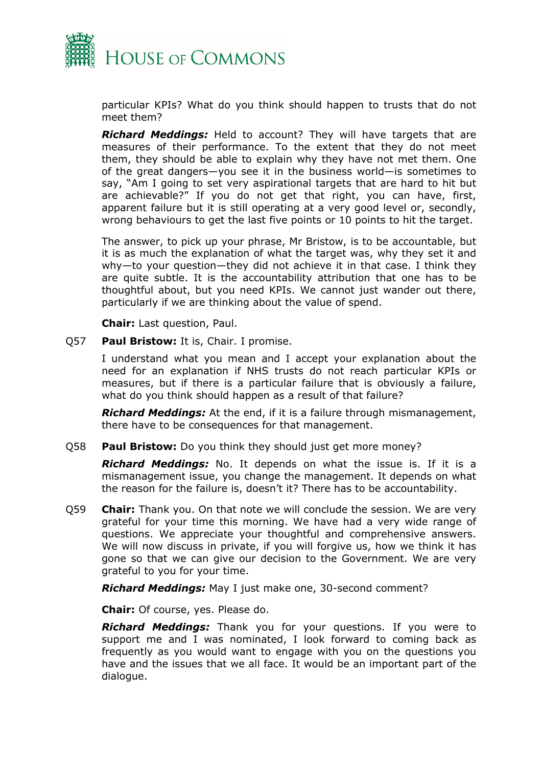

particular KPIs? What do you think should happen to trusts that do not meet them?

*Richard Meddings:* Held to account? They will have targets that are measures of their performance. To the extent that they do not meet them, they should be able to explain why they have not met them. One of the great dangers—you see it in the business world—is sometimes to say, "Am I going to set very aspirational targets that are hard to hit but are achievable?" If you do not get that right, you can have, first, apparent failure but it is still operating at a very good level or, secondly, wrong behaviours to get the last five points or 10 points to hit the target.

The answer, to pick up your phrase, Mr Bristow, is to be accountable, but it is as much the explanation of what the target was, why they set it and why—to your question—they did not achieve it in that case. I think they are quite subtle. It is the accountability attribution that one has to be thoughtful about, but you need KPIs. We cannot just wander out there, particularly if we are thinking about the value of spend.

**Chair:** Last question, Paul.

Q57 **Paul Bristow:** It is, Chair. I promise.

I understand what you mean and I accept your explanation about the need for an explanation if NHS trusts do not reach particular KPIs or measures, but if there is a particular failure that is obviously a failure, what do you think should happen as a result of that failure?

*Richard Meddings:* At the end, if it is a failure through mismanagement, there have to be consequences for that management.

Q58 **Paul Bristow:** Do you think they should just get more money?

*Richard Meddings:* No. It depends on what the issue is. If it is a mismanagement issue, you change the management. It depends on what the reason for the failure is, doesn't it? There has to be accountability.

Q59 **Chair:** Thank you. On that note we will conclude the session. We are very grateful for your time this morning. We have had a very wide range of questions. We appreciate your thoughtful and comprehensive answers. We will now discuss in private, if you will forgive us, how we think it has gone so that we can give our decision to the Government. We are very grateful to you for your time.

*Richard Meddings:* May I just make one, 30-second comment?

**Chair:** Of course, yes. Please do.

*Richard Meddings:* Thank you for your questions. If you were to support me and I was nominated, I look forward to coming back as frequently as you would want to engage with you on the questions you have and the issues that we all face. It would be an important part of the dialogue.